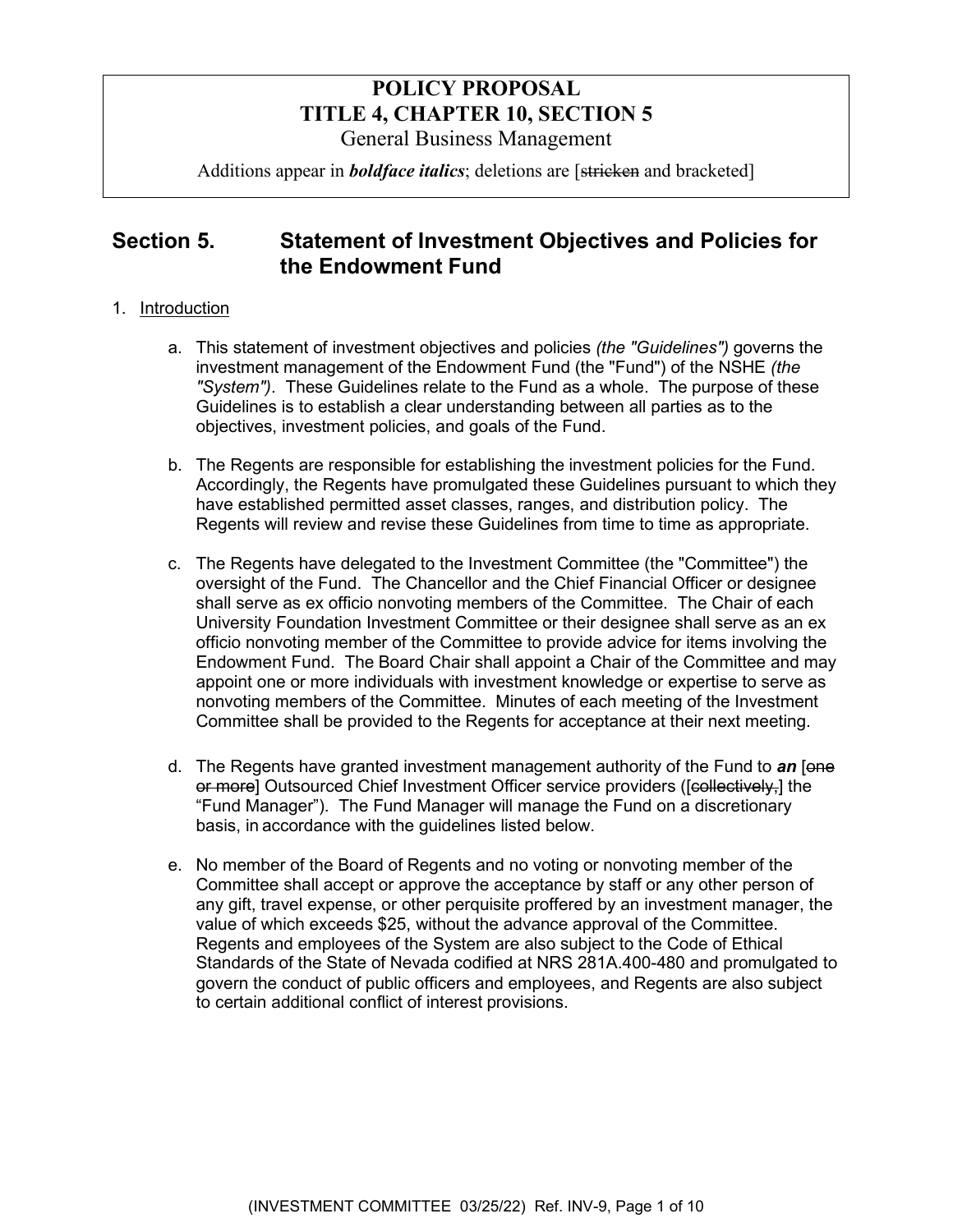# **POLICY PROPOSAL TITLE 4, CHAPTER 10, SECTION 5**  General Business Management

Additions appear in *boldface italics*; deletions are [stricken and bracketed]

# **Section 5. Statement of Investment Objectives and Policies for the Endowment Fund**

### 1. Introduction

- a. This statement of investment objectives and policies *(the "Guidelines")* governs the investment management of the Endowment Fund (the "Fund") of the NSHE *(the "System")*. These Guidelines relate to the Fund as a whole. The purpose of these Guidelines is to establish a clear understanding between all parties as to the objectives, investment policies, and goals of the Fund.
- b. The Regents are responsible for establishing the investment policies for the Fund. Accordingly, the Regents have promulgated these Guidelines pursuant to which they have established permitted asset classes, ranges, and distribution policy. The Regents will review and revise these Guidelines from time to time as appropriate.
- c. The Regents have delegated to the Investment Committee (the "Committee") the oversight of the Fund. The Chancellor and the Chief Financial Officer or designee shall serve as ex officio nonvoting members of the Committee. The Chair of each University Foundation Investment Committee or their designee shall serve as an ex officio nonvoting member of the Committee to provide advice for items involving the Endowment Fund. The Board Chair shall appoint a Chair of the Committee and may appoint one or more individuals with investment knowledge or expertise to serve as nonvoting members of the Committee. Minutes of each meeting of the Investment Committee shall be provided to the Regents for acceptance at their next meeting.
- d. The Regents have granted investment management authority of the Fund to *an* [one or more] Outsourced Chief Investment Officer service providers ([collectively,] the "Fund Manager"). The Fund Manager will manage the Fund on a discretionary basis, in accordance with the guidelines listed below.
- e. No member of the Board of Regents and no voting or nonvoting member of the Committee shall accept or approve the acceptance by staff or any other person of any gift, travel expense, or other perquisite proffered by an investment manager, the value of which exceeds \$25, without the advance approval of the Committee. Regents and employees of the System are also subject to the Code of Ethical Standards of the State of Nevada codified at NRS 281A.400-480 and promulgated to govern the conduct of public officers and employees, and Regents are also subject to certain additional conflict of interest provisions.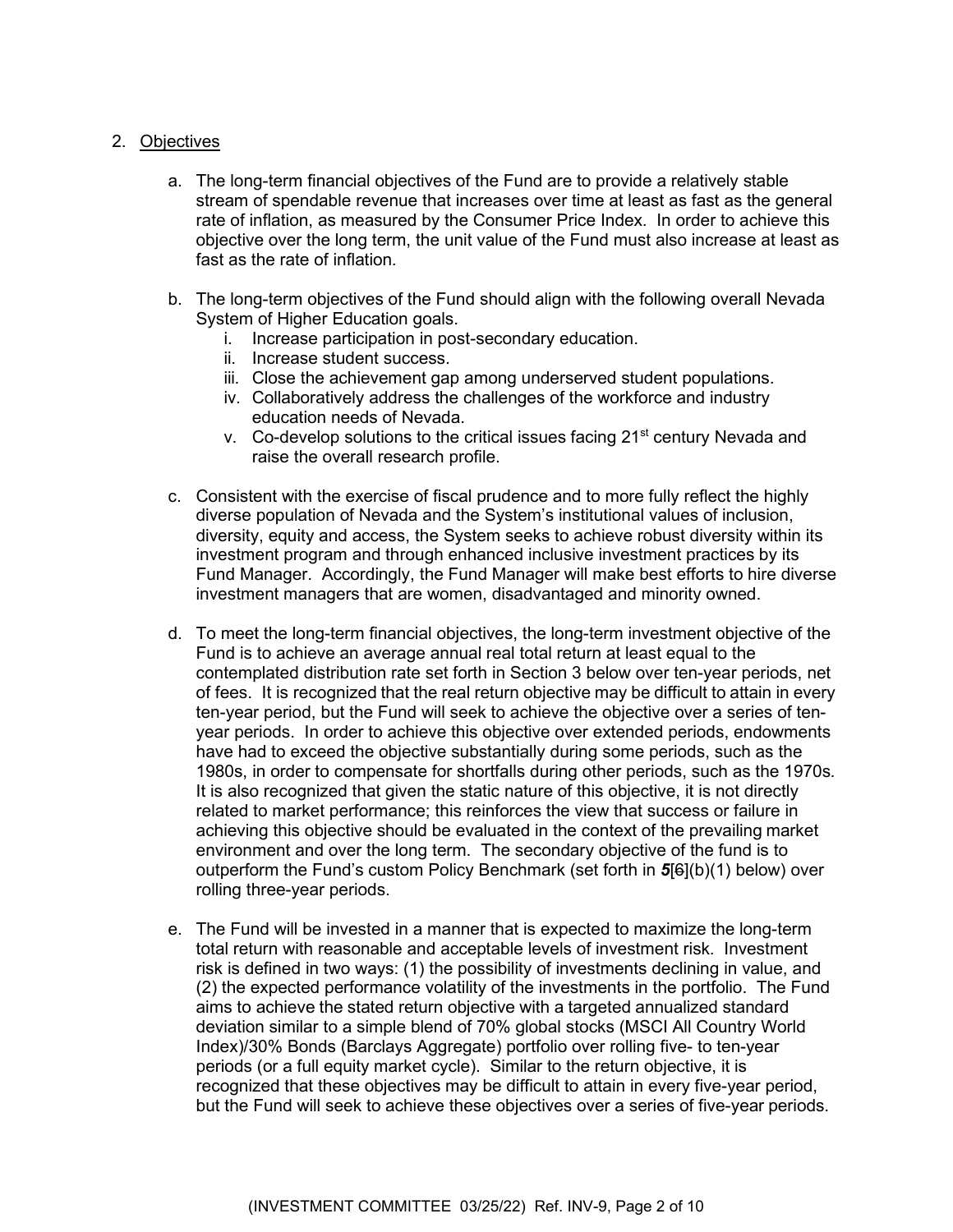#### 2. Objectives

- a. The long-term financial objectives of the Fund are to provide a relatively stable stream of spendable revenue that increases over time at least as fast as the general rate of inflation, as measured by the Consumer Price Index. In order to achieve this objective over the long term, the unit value of the Fund must also increase at least as fast as the rate of inflation*.*
- b. The long-term objectives of the Fund should align with the following overall Nevada System of Higher Education goals.
	- i. Increase participation in post-secondary education.
	- ii. Increase student success.
	- iii. Close the achievement gap among underserved student populations.
	- iv. Collaboratively address the challenges of the workforce and industry education needs of Nevada.
	- v. Co-develop solutions to the critical issues facing 21<sup>st</sup> century Nevada and raise the overall research profile.
- c. Consistent with the exercise of fiscal prudence and to more fully reflect the highly diverse population of Nevada and the System's institutional values of inclusion, diversity, equity and access, the System seeks to achieve robust diversity within its investment program and through enhanced inclusive investment practices by its Fund Manager. Accordingly, the Fund Manager will make best efforts to hire diverse investment managers that are women, disadvantaged and minority owned.
- d. To meet the long-term financial objectives, the long-term investment objective of the Fund is to achieve an average annual real total return at least equal to the contemplated distribution rate set forth in Section 3 below over ten-year periods, net of fees. It is recognized that the real return objective may be difficult to attain in every ten-year period, but the Fund will seek to achieve the objective over a series of tenyear periods. In order to achieve this objective over extended periods, endowments have had to exceed the objective substantially during some periods, such as the 1980s, in order to compensate for shortfalls during other periods, such as the 1970s*.* It is also recognized that given the static nature of this objective, it is not directly related to market performance; this reinforces the view that success or failure in achieving this objective should be evaluated in the context of the prevailing market environment and over the long term. The secondary objective of the fund is to outperform the Fund's custom Policy Benchmark (set forth in *5*[6](b)(1) below) over rolling three-year periods.
- e. The Fund will be invested in a manner that is expected to maximize the long-term total return with reasonable and acceptable levels of investment risk. Investment risk is defined in two ways: (1) the possibility of investments declining in value, and (2) the expected performance volatility of the investments in the portfolio. The Fund aims to achieve the stated return objective with a targeted annualized standard deviation similar to a simple blend of 70% global stocks (MSCI All Country World Index)/30% Bonds (Barclays Aggregate) portfolio over rolling five- to ten-year periods (or a full equity market cycle). Similar to the return objective, it is recognized that these objectives may be difficult to attain in every five-year period, but the Fund will seek to achieve these objectives over a series of five-year periods.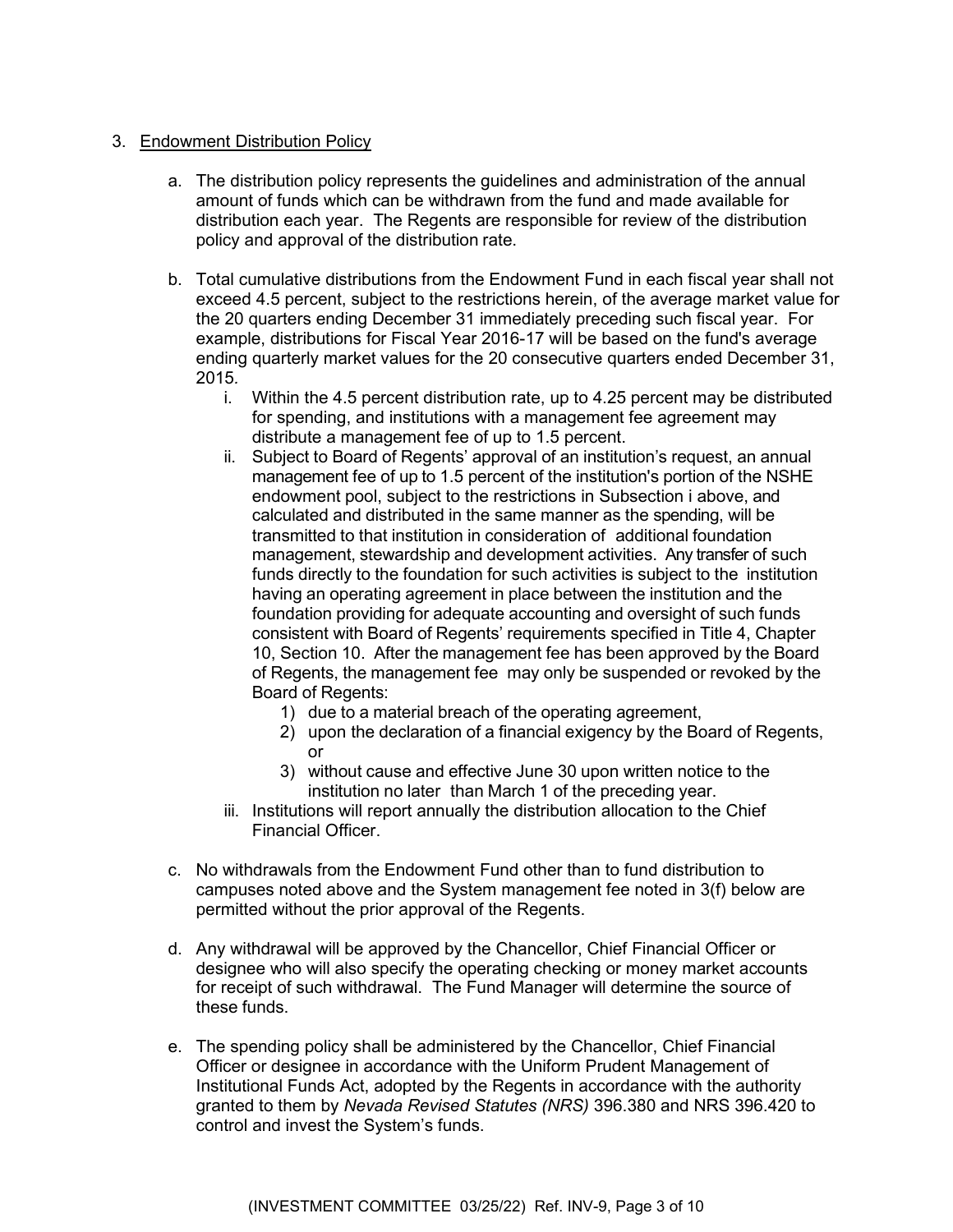#### 3. Endowment Distribution Policy

- a. The distribution policy represents the guidelines and administration of the annual amount of funds which can be withdrawn from the fund and made available for distribution each year. The Regents are responsible for review of the distribution policy and approval of the distribution rate.
- b. Total cumulative distributions from the Endowment Fund in each fiscal year shall not exceed 4.5 percent, subject to the restrictions herein, of the average market value for the 20 quarters ending December 31 immediately preceding such fiscal year. For example, distributions for Fiscal Year 2016-17 will be based on the fund's average ending quarterly market values for the 20 consecutive quarters ended December 31, 2015*.*
	- i. Within the 4.5 percent distribution rate, up to 4.25 percent may be distributed for spending, and institutions with a management fee agreement may distribute a management fee of up to 1.5 percent.
	- ii. Subject to Board of Regents' approval of an institution's request, an annual management fee of up to 1.5 percent of the institution's portion of the NSHE endowment pool, subject to the restrictions in Subsection i above, and calculated and distributed in the same manner as the spending, will be transmitted to that institution in consideration of additional foundation management, stewardship and development activities. Any transfer of such funds directly to the foundation for such activities is subject to the institution having an operating agreement in place between the institution and the foundation providing for adequate accounting and oversight of such funds consistent with Board of Regents' requirements specified in Title 4, Chapter 10, Section 10. After the management fee has been approved by the Board of Regents, the management fee may only be suspended or revoked by the Board of Regents:
		- 1) due to a material breach of the operating agreement,
		- 2) upon the declaration of a financial exigency by the Board of Regents, or
		- 3) without cause and effective June 30 upon written notice to the institution no later than March 1 of the preceding year.
	- iii. Institutions will report annually the distribution allocation to the Chief Financial Officer.
- c. No withdrawals from the Endowment Fund other than to fund distribution to campuses noted above and the System management fee noted in 3(f) below are permitted without the prior approval of the Regents.
- d. Any withdrawal will be approved by the Chancellor, Chief Financial Officer or designee who will also specify the operating checking or money market accounts for receipt of such withdrawal. The Fund Manager will determine the source of these funds.
- e. The spending policy shall be administered by the Chancellor, Chief Financial Officer or designee in accordance with the Uniform Prudent Management of Institutional Funds Act, adopted by the Regents in accordance with the authority granted to them by *Nevada Revised Statutes (NRS)* 396.380 and NRS 396.420 to control and invest the System's funds.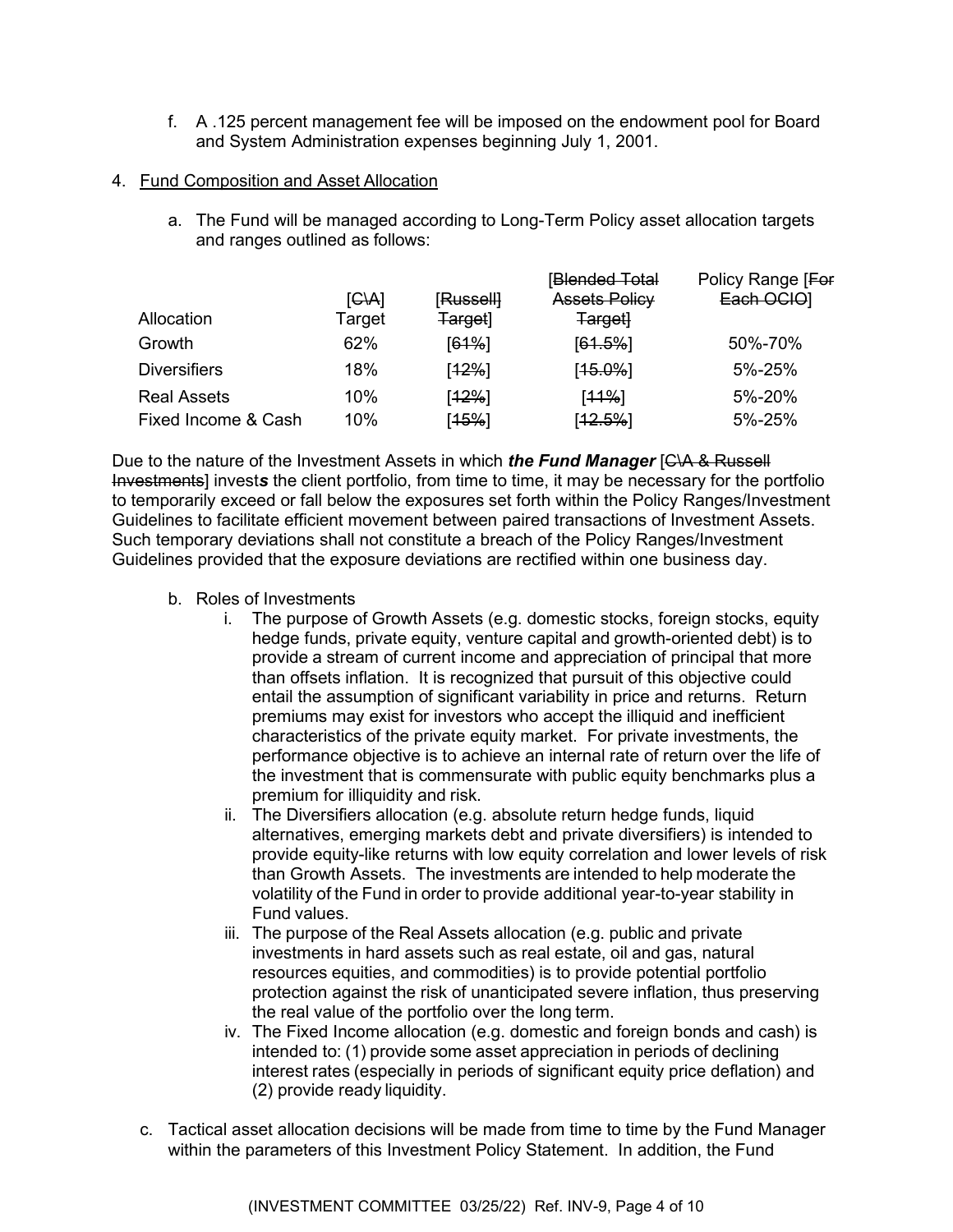f. A .125 percent management fee will be imposed on the endowment pool for Board and System Administration expenses beginning July 1, 2001.

#### 4. Fund Composition and Asset Allocation

a. The Fund will be managed according to Long-Term Policy asset allocation targets and ranges outlined as follows:

|        |           |                      | Policy Range [For |
|--------|-----------|----------------------|-------------------|
| G A    | [Russell] | <b>Assets Policy</b> | Each OCIO]        |
| Target | Target]   | <b>Target</b>        |                   |
| 62%    | [61%]     | $[61.5\%]$           | 50%-70%           |
| 18%    | [12%]     | $[15.0\%]$           | 5%-25%            |
| 10%    | [12%]     | [11%]                | 5%-20%            |
| 10%    | [15%]     | $[12.5\%]$           | 5%-25%            |
|        |           |                      | [Blended Total    |

Due to the nature of the Investment Assets in which *the Fund Manager* [C\A & Russell Investments] invest*s* the client portfolio, from time to time, it may be necessary for the portfolio to temporarily exceed or fall below the exposures set forth within the Policy Ranges/Investment Guidelines to facilitate efficient movement between paired transactions of Investment Assets. Such temporary deviations shall not constitute a breach of the Policy Ranges/Investment Guidelines provided that the exposure deviations are rectified within one business day.

- b. Roles of Investments
	- i. The purpose of Growth Assets (e.g. domestic stocks, foreign stocks, equity hedge funds, private equity, venture capital and growth-oriented debt) is to provide a stream of current income and appreciation of principal that more than offsets inflation. It is recognized that pursuit of this objective could entail the assumption of significant variability in price and returns. Return premiums may exist for investors who accept the illiquid and inefficient characteristics of the private equity market. For private investments, the performance objective is to achieve an internal rate of return over the life of the investment that is commensurate with public equity benchmarks plus a premium for illiquidity and risk.
	- ii. The Diversifiers allocation (e.g. absolute return hedge funds, liquid alternatives, emerging markets debt and private diversifiers) is intended to provide equity-like returns with low equity correlation and lower levels of risk than Growth Assets. The investments are intended to help moderate the volatility of the Fund in order to provide additional year-to-year stability in Fund values.
	- iii. The purpose of the Real Assets allocation (e.g. public and private investments in hard assets such as real estate, oil and gas, natural resources equities, and commodities) is to provide potential portfolio protection against the risk of unanticipated severe inflation, thus preserving the real value of the portfolio over the long term.
	- iv. The Fixed Income allocation (e.g. domestic and foreign bonds and cash) is intended to: (1) provide some asset appreciation in periods of declining interest rates (especially in periods of significant equity price deflation) and (2) provide ready liquidity.
- c. Tactical asset allocation decisions will be made from time to time by the Fund Manager within the parameters of this Investment Policy Statement. In addition, the Fund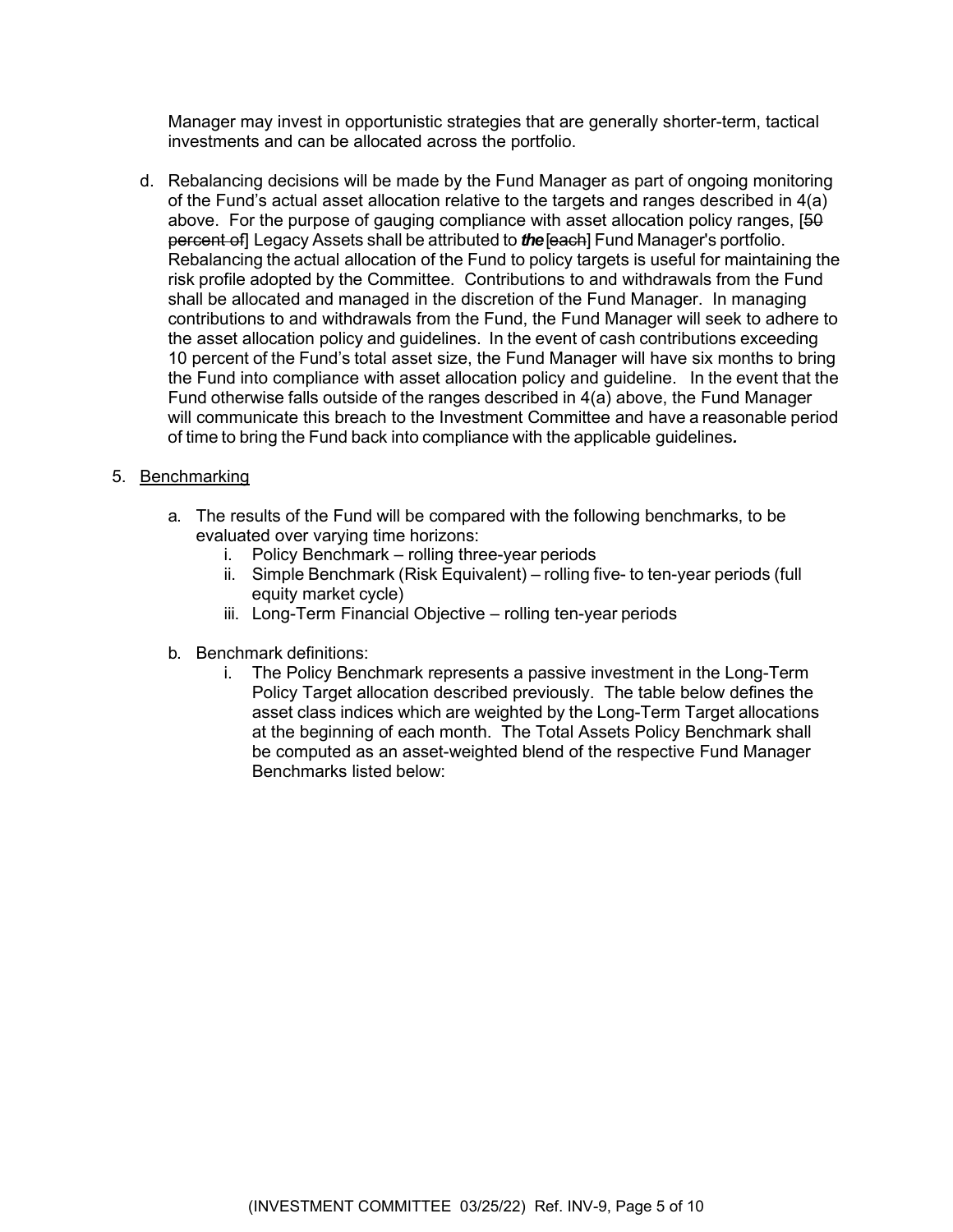Manager may invest in opportunistic strategies that are generally shorter-term, tactical investments and can be allocated across the portfolio.

d. Rebalancing decisions will be made by the Fund Manager as part of ongoing monitoring of the Fund's actual asset allocation relative to the targets and ranges described in 4(a) above. For the purpose of gauging compliance with asset allocation policy ranges,  $[50]$ percent of] Legacy Assets shall be attributed to *the* [each] Fund Manager's portfolio. Rebalancing the actual allocation of the Fund to policy targets is useful for maintaining the risk profile adopted by the Committee. Contributions to and withdrawals from the Fund shall be allocated and managed in the discretion of the Fund Manager. In managing contributions to and withdrawals from the Fund, the Fund Manager will seek to adhere to the asset allocation policy and guidelines. In the event of cash contributions exceeding 10 percent of the Fund's total asset size, the Fund Manager will have six months to bring the Fund into compliance with asset allocation policy and guideline. In the event that the Fund otherwise falls outside of the ranges described in 4(a) above, the Fund Manager will communicate this breach to the Investment Committee and have a reasonable period of time to bring the Fund back into compliance with the applicable guidelines*.*

#### 5. Benchmarking

- a. The results of the Fund will be compared with the following benchmarks, to be evaluated over varying time horizons:
	- i. Policy Benchmark rolling three-year periods
	- ii. Simple Benchmark (Risk Equivalent) rolling five- to ten-year periods (full equity market cycle)
	- iii. Long-Term Financial Objective rolling ten-year periods
- b. Benchmark definitions:
	- i. The Policy Benchmark represents a passive investment in the Long-Term Policy Target allocation described previously. The table below defines the asset class indices which are weighted by the Long-Term Target allocations at the beginning of each month. The Total Assets Policy Benchmark shall be computed as an asset-weighted blend of the respective Fund Manager Benchmarks listed below: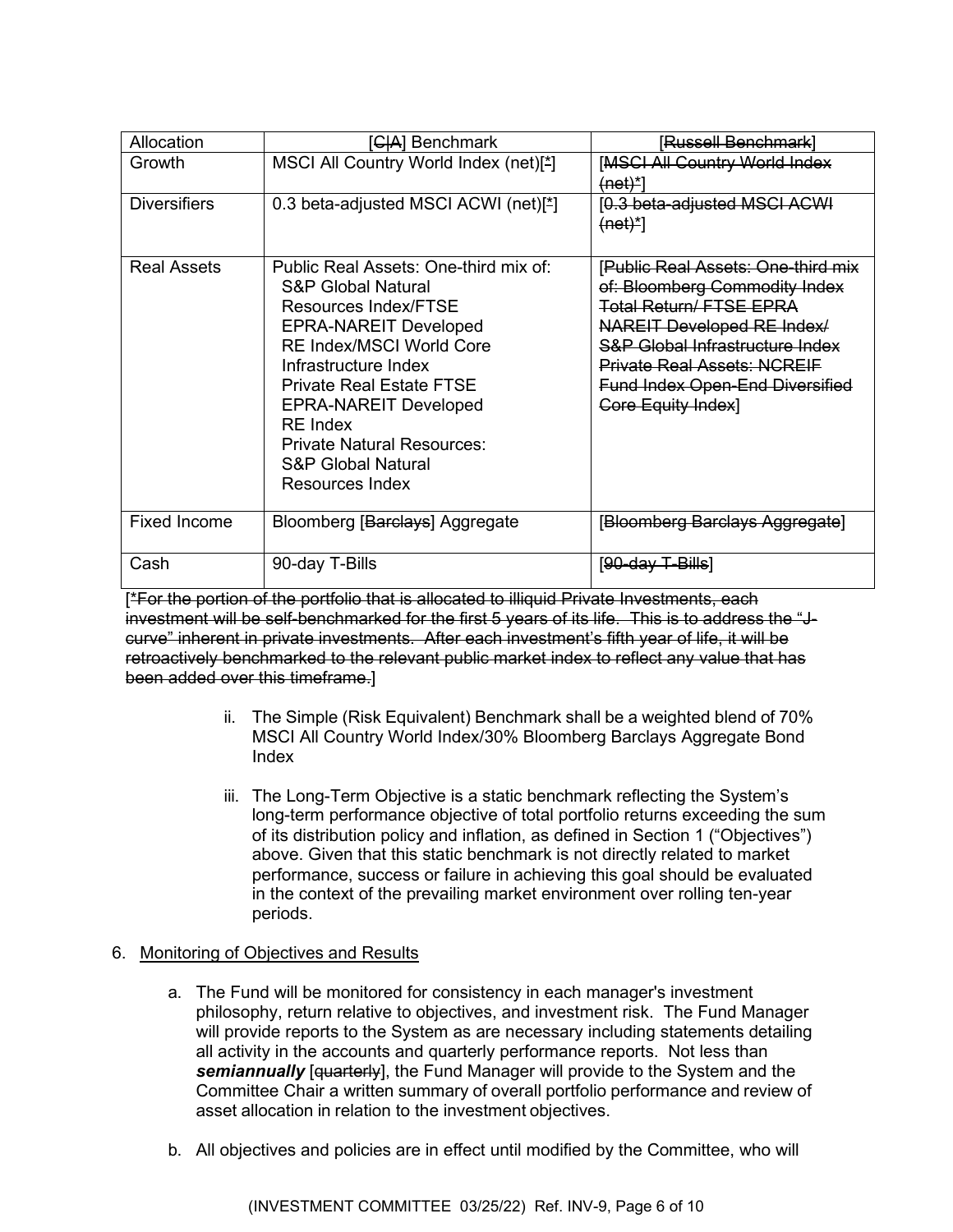| Allocation          | [ <del>CIA</del> ] Benchmark                                                                                                                                                                                                                                                                                                                           | lRussell Benchmark`                                                                                                                                                                                                                                                                            |
|---------------------|--------------------------------------------------------------------------------------------------------------------------------------------------------------------------------------------------------------------------------------------------------------------------------------------------------------------------------------------------------|------------------------------------------------------------------------------------------------------------------------------------------------------------------------------------------------------------------------------------------------------------------------------------------------|
| Growth              | MSCI All Country World Index (net)[*]                                                                                                                                                                                                                                                                                                                  | <b>[MSCI All Country World Index</b><br>$(net)^*$                                                                                                                                                                                                                                              |
| <b>Diversifiers</b> | 0.3 beta-adjusted MSCI ACWI (net)[*]                                                                                                                                                                                                                                                                                                                   | 0.3 beta-adjusted MSCI ACWI<br>$(net)^*$                                                                                                                                                                                                                                                       |
| <b>Real Assets</b>  | Public Real Assets: One-third mix of:<br><b>S&amp;P Global Natural</b><br>Resources Index/FTSE<br><b>EPRA-NAREIT Developed</b><br><b>RE Index/MSCI World Core</b><br>Infrastructure Index<br><b>Private Real Estate FTSE</b><br><b>EPRA-NAREIT Developed</b><br><b>RE</b> Index<br>Private Natural Resources:<br>S&P Global Natural<br>Resources Index | [Public Real Assets: One-third mix<br>of: Bloomberg Commodity Index<br><b>Total Return/FTSE EPRA</b><br>NAREIT Developed RE Index/<br><b>S&amp;P Global Infrastructure Index</b><br><b>Private Real Assets: NCREIF</b><br><b>Fund Index Open-End Diversified</b><br><b>Core Equity Index</b> ] |
| <b>Fixed Income</b> | Bloomberg [Barclays] Aggregate                                                                                                                                                                                                                                                                                                                         | [Bloomberg Barclays Aggregate]                                                                                                                                                                                                                                                                 |
| Cash                | 90-day T-Bills                                                                                                                                                                                                                                                                                                                                         | [ <del>90-day T-Bills</del> ]                                                                                                                                                                                                                                                                  |

[\*For the portion of the portfolio that is allocated to illiquid Private Investments, each investment will be self-benchmarked for the first 5 years of its life. This is to address the "Jcurve" inherent in private investments. After each investment's fifth year of life, it will be retroactively benchmarked to the relevant public market index to reflect any value that has been added over this timeframe.]

- ii. The Simple (Risk Equivalent) Benchmark shall be a weighted blend of 70% MSCI All Country World Index/30% Bloomberg Barclays Aggregate Bond Index
- iii. The Long-Term Objective is a static benchmark reflecting the System's long-term performance objective of total portfolio returns exceeding the sum of its distribution policy and inflation, as defined in Section 1 ("Objectives") above. Given that this static benchmark is not directly related to market performance, success or failure in achieving this goal should be evaluated in the context of the prevailing market environment over rolling ten-year periods.

### 6. Monitoring of Objectives and Results

- a. The Fund will be monitored for consistency in each manager's investment philosophy, return relative to objectives, and investment risk. The Fund Manager will provide reports to the System as are necessary including statements detailing all activity in the accounts and quarterly performance reports. Not less than **semiannually** [quarterly], the Fund Manager will provide to the System and the Committee Chair a written summary of overall portfolio performance and review of asset allocation in relation to the investment objectives.
- b. All objectives and policies are in effect until modified by the Committee, who will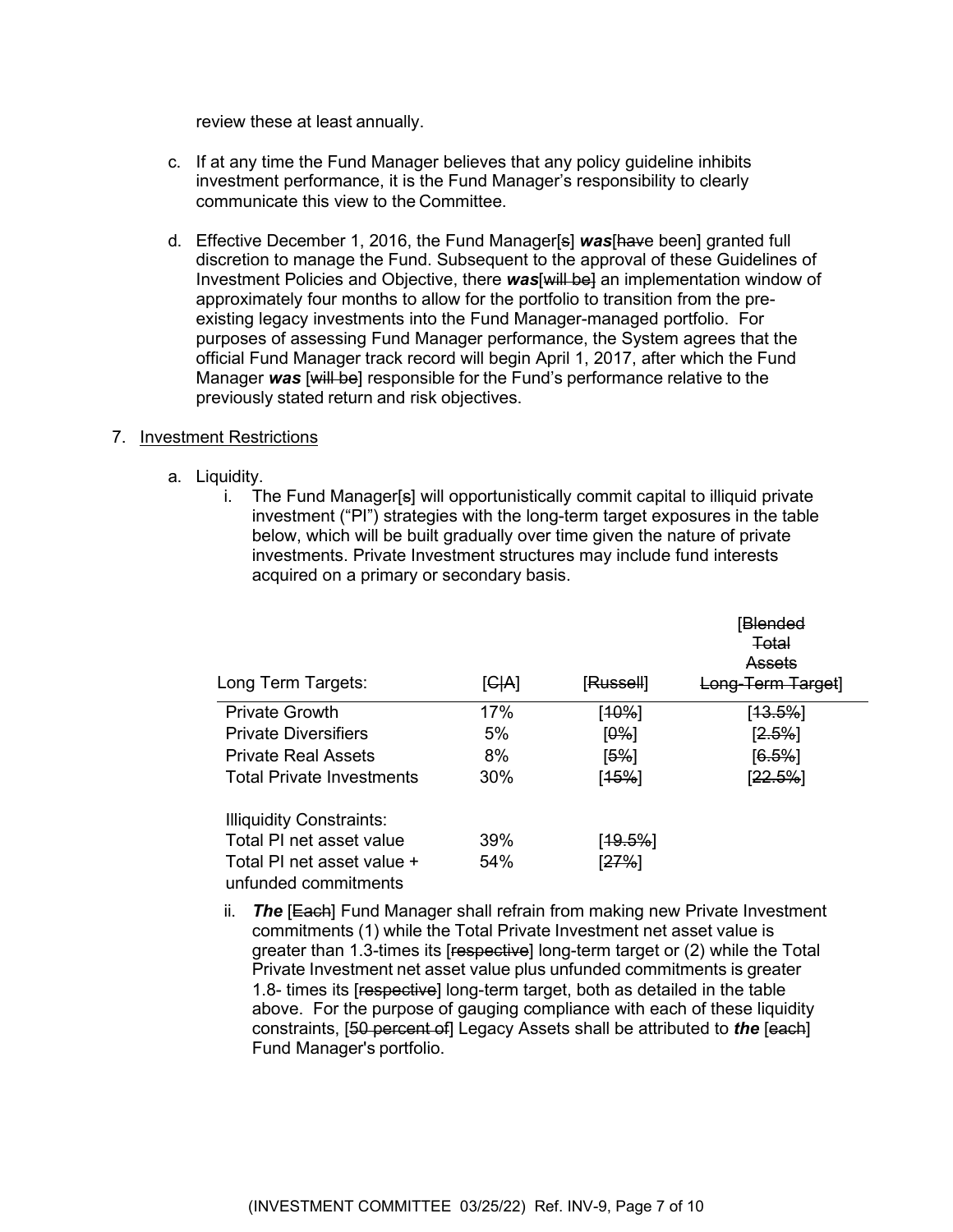review these at least annually.

- c. If at any time the Fund Manager believes that any policy guideline inhibits investment performance, it is the Fund Manager's responsibility to clearly communicate this view to the Committee.
- d. Effective December 1, 2016, the Fund Manager[s] *was*[have been] granted full discretion to manage the Fund. Subsequent to the approval of these Guidelines of Investment Policies and Objective, there **was** [will be] an implementation window of approximately four months to allow for the portfolio to transition from the preexisting legacy investments into the Fund Manager-managed portfolio. For purposes of assessing Fund Manager performance, the System agrees that the official Fund Manager track record will begin April 1, 2017, after which the Fund Manager *was* [will be] responsible for the Fund's performance relative to the previously stated return and risk objectives.

#### 7. Investment Restrictions

- a. Liquidity.
	- i. The Fund Manager[s] will opportunistically commit capital to illiquid private investment ("PI") strategies with the long-term target exposures in the table below, which will be built gradually over time given the nature of private investments. Private Investment structures may include fund interests acquired on a primary or secondary basis.

| Long Term Targets:                                 | [GH] | [Russell]            | iBlended<br>Total<br>Assets<br>Long-Term Target |
|----------------------------------------------------|------|----------------------|-------------------------------------------------|
| <b>Private Growth</b>                              | 17%  | [10%]                | [ <del>13.5%</del> ]                            |
| <b>Private Diversifiers</b>                        | 5%   | [0%]                 | [2.5%]                                          |
| <b>Private Real Assets</b>                         | 8%   | [5%]                 | [6.5%]                                          |
| Total Private Investments                          | 30%  | [45%]                | [22.5%]                                         |
| <b>Illiquidity Constraints:</b>                    |      |                      |                                                 |
| Total PI net asset value                           | 39%  | [ <del>19.5%</del> ] |                                                 |
| Total PI net asset value +<br>unfunded commitments | 54%  | [ <del>27%</del> ]   |                                                 |

ii. *The* [Each] Fund Manager shall refrain from making new Private Investment commitments (1) while the Total Private Investment net asset value is greater than 1.3-times its [respective] long-term target or (2) while the Total Private Investment net asset value plus unfunded commitments is greater 1.8- times its [respective] long-term target, both as detailed in the table above. For the purpose of gauging compliance with each of these liquidity constraints, [50 percent of] Legacy Assets shall be attributed to *the* [each] Fund Manager's portfolio.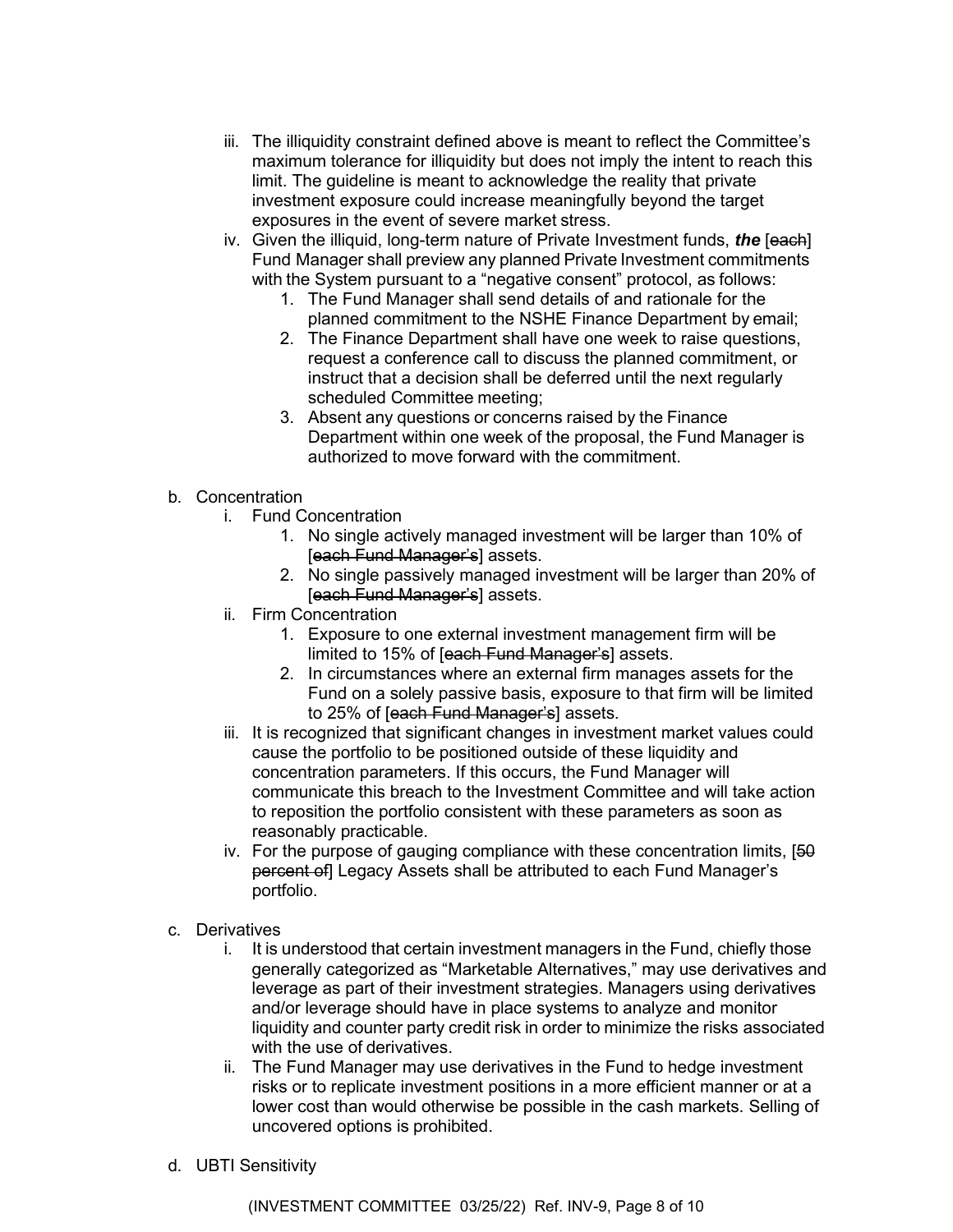- iii. The illiquidity constraint defined above is meant to reflect the Committee's maximum tolerance for illiquidity but does not imply the intent to reach this limit. The guideline is meant to acknowledge the reality that private investment exposure could increase meaningfully beyond the target exposures in the event of severe market stress.
- iv. Given the illiquid, long-term nature of Private Investment funds, *the* [each] Fund Manager shall preview any planned Private Investment commitments with the System pursuant to a "negative consent" protocol, as follows:
	- 1. The Fund Manager shall send details of and rationale for the planned commitment to the NSHE Finance Department by email;
	- 2. The Finance Department shall have one week to raise questions, request a conference call to discuss the planned commitment, or instruct that a decision shall be deferred until the next regularly scheduled Committee meeting;
	- 3. Absent any questions or concerns raised by the Finance Department within one week of the proposal, the Fund Manager is authorized to move forward with the commitment.
- b. Concentration
	- i. Fund Concentration
		- 1. No single actively managed investment will be larger than 10% of [each Fund Manager's] assets.
		- 2. No single passively managed investment will be larger than 20% of [each Fund Manager's] assets.
	- ii. Firm Concentration
		- 1. Exposure to one external investment management firm will be limited to 15% of [each Fund Manager's] assets.
		- 2. In circumstances where an external firm manages assets for the Fund on a solely passive basis, exposure to that firm will be limited to 25% of [each Fund Manager's] assets.
	- iii. It is recognized that significant changes in investment market values could cause the portfolio to be positioned outside of these liquidity and concentration parameters. If this occurs, the Fund Manager will communicate this breach to the Investment Committee and will take action to reposition the portfolio consistent with these parameters as soon as reasonably practicable.
	- iv. For the purpose of gauging compliance with these concentration limits, [50 percent of] Legacy Assets shall be attributed to each Fund Manager's portfolio.
- c. Derivatives
	- i. It is understood that certain investment managers in the Fund, chiefly those generally categorized as "Marketable Alternatives," may use derivatives and leverage as part of their investment strategies. Managers using derivatives and/or leverage should have in place systems to analyze and monitor liquidity and counter party credit risk in order to minimize the risks associated with the use of derivatives.
	- ii. The Fund Manager may use derivatives in the Fund to hedge investment risks or to replicate investment positions in a more efficient manner or at a lower cost than would otherwise be possible in the cash markets. Selling of uncovered options is prohibited.
- d. UBTI Sensitivity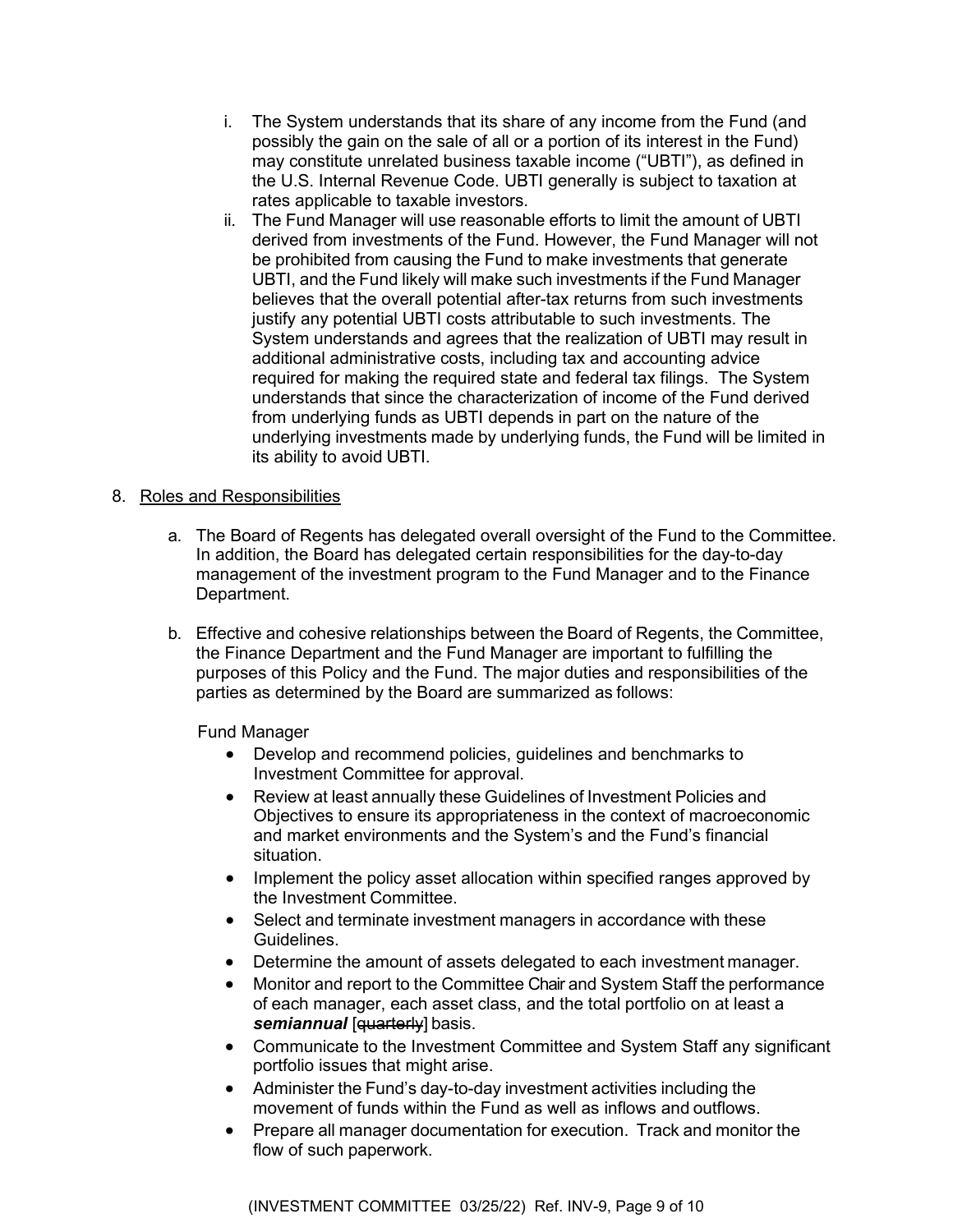- i. The System understands that its share of any income from the Fund (and possibly the gain on the sale of all or a portion of its interest in the Fund) may constitute unrelated business taxable income ("UBTI"), as defined in the U.S. Internal Revenue Code. UBTI generally is subject to taxation at rates applicable to taxable investors.
- ii. The Fund Manager will use reasonable efforts to limit the amount of UBTI derived from investments of the Fund. However, the Fund Manager will not be prohibited from causing the Fund to make investments that generate UBTI, and the Fund likely will make such investments if the Fund Manager believes that the overall potential after-tax returns from such investments justify any potential UBTI costs attributable to such investments. The System understands and agrees that the realization of UBTI may result in additional administrative costs, including tax and accounting advice required for making the required state and federal tax filings. The System understands that since the characterization of income of the Fund derived from underlying funds as UBTI depends in part on the nature of the underlying investments made by underlying funds, the Fund will be limited in its ability to avoid UBTI.

## 8. Roles and Responsibilities

- a. The Board of Regents has delegated overall oversight of the Fund to the Committee. In addition, the Board has delegated certain responsibilities for the day-to-day management of the investment program to the Fund Manager and to the Finance Department.
- b. Effective and cohesive relationships between the Board of Regents, the Committee, the Finance Department and the Fund Manager are important to fulfilling the purposes of this Policy and the Fund. The major duties and responsibilities of the parties as determined by the Board are summarized as follows:

Fund Manager

- Develop and recommend policies, guidelines and benchmarks to Investment Committee for approval.
- Review at least annually these Guidelines of Investment Policies and Objectives to ensure its appropriateness in the context of macroeconomic and market environments and the System's and the Fund's financial situation.
- Implement the policy asset allocation within specified ranges approved by the Investment Committee.
- Select and terminate investment managers in accordance with these Guidelines.
- Determine the amount of assets delegated to each investment manager.
- Monitor and report to the Committee Chair and System Staff the performance of each manager, each asset class, and the total portfolio on at least a semiannual [quarterly] basis.
- Communicate to the Investment Committee and System Staff any significant portfolio issues that might arise.
- Administer the Fund's day-to-day investment activities including the movement of funds within the Fund as well as inflows and outflows.
- Prepare all manager documentation for execution. Track and monitor the flow of such paperwork.